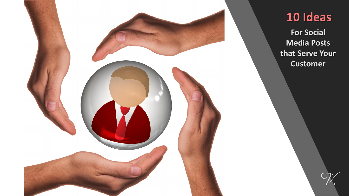

#### **10 Ideas**

**For Social Media Posts that Serve Your Customer**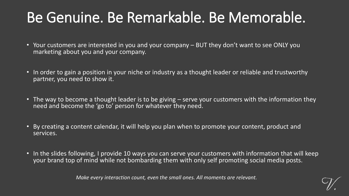### Be Genuine. Be Remarkable. Be Memorable.

- Your customers are interested in you and your company BUT they don't want to see ONLY you marketing about you and your company.
- In order to gain a position in your niche or industry as a thought leader or reliable and trustworthy partner, you need to show it.
- The way to become a thought leader is to be giving serve your customers with the information they need and become the 'go to' person for whatever they need.
- By creating a content calendar, it will help you plan when to promote your content, product and services.
- In the slides following, I provide 10 ways you can serve your customers with information that will keep your brand top of mind while not bombarding them with only self promoting social media posts.

*Make every interaction count, even the small ones. All moments are relevant.*

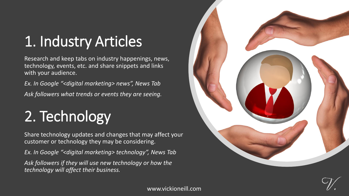## 1. Industry Articles

Research and keep tabs on industry happenings, news, technology, events, etc. and share snippets and links with your audience.

*Ex. In Google "<digital marketing> news", News Tab Ask followers what trends or events they are seeing.*

# 2. Technology

Share technology updates and changes that may affect your customer or technology they may be considering.

*Ex. In Google "<digital marketing> technology", News Tab Ask followers if they will use new technology or how the technology will affect their business.*



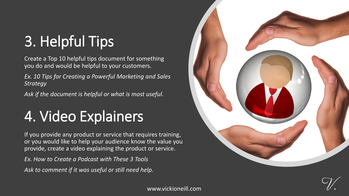# 3. Helpful Tips

Create a Top 10 helpful tips document for something you do and would be helpful to your customers.

*Ex. 10 Tips for Creating a Powerful Marketing and Sales Strategy*

*Ask if the document is helpful or what is most useful.*

# 4. Video Explainers

If you provide any product or service that requires training, or you would like to help your audience know the value you provide, create a video explaining the product or service.

*Ex. How to Create a Podcast with These 3 Tools*

*Ask to comment if it was useful or still need help.* 



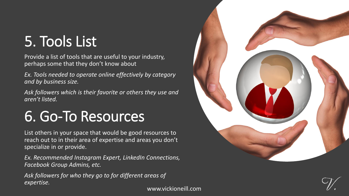### 5. Tools List

Provide a list of tools that are useful to your industry, perhaps some that they don't know about

*Ex. Tools needed to operate online effectively by category and by business size.* 

*Ask followers which is their favorite or others they use and aren't listed.* 

### 6. Go-To Resources

List others in your space that would be good resources to reach out to in their area of expertise and areas you don't specialize in or provide.

*Ex. Recommended Instagram Expert, LinkedIn Connections, Facebook Group Admins, etc.* 

*Ask followers for who they go to for different areas of expertise.* 



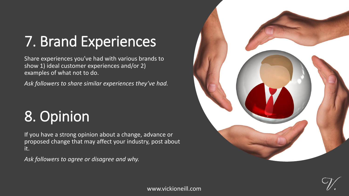# 7. Brand Experiences

Share experiences you've had with various brands to show 1) ideal customer experiences and/or 2) examples of what not to do.

*Ask followers to share similar experiences they've had.*

### 8. Opinion

If you have a strong opinion about a change, advance or proposed change that may affect your industry, post about it.

*Ask followers to agree or disagree and why.*





www.vickioneill.com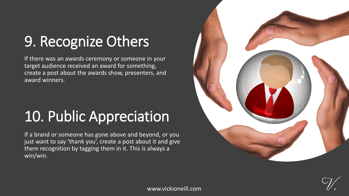# 9. Recognize Others

If there was an awards ceremony or someone in your target audience received an award for something, create a post about the awards show, presenters, and award winners.

### 10. Public Appreciation

If a brand or someone has gone above and beyond, or you just want to say 'thank you', create a post about it and give them recognition by tagging them in it. This is always a win/win.